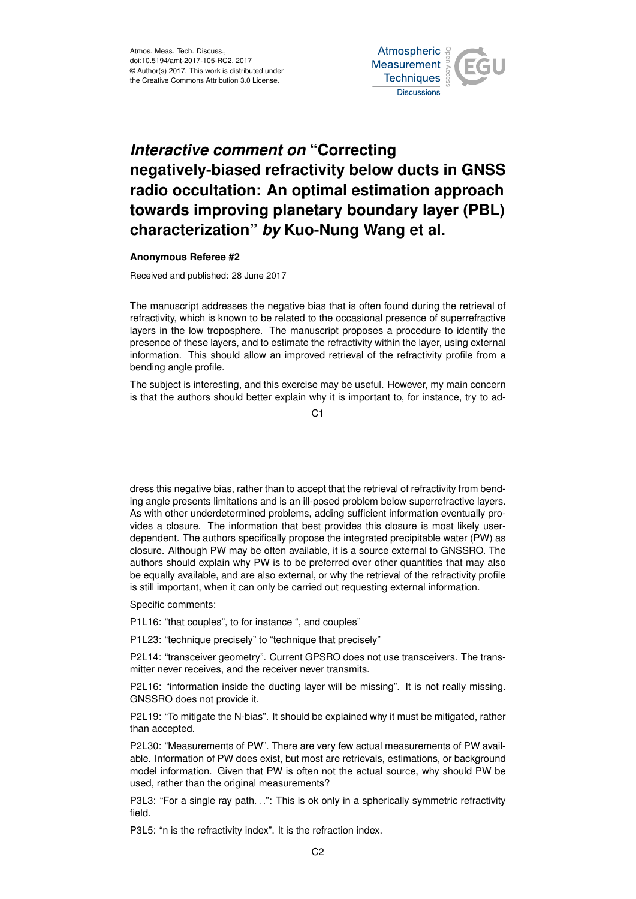

## *Interactive comment on* **"Correcting negatively-biased refractivity below ducts in GNSS radio occultation: An optimal estimation approach towards improving planetary boundary layer (PBL) characterization"** *by* **Kuo-Nung Wang et al.**

## **Anonymous Referee #2**

Received and published: 28 June 2017

The manuscript addresses the negative bias that is often found during the retrieval of refractivity, which is known to be related to the occasional presence of superrefractive layers in the low troposphere. The manuscript proposes a procedure to identify the presence of these layers, and to estimate the refractivity within the layer, using external information. This should allow an improved retrieval of the refractivity profile from a bending angle profile.

The subject is interesting, and this exercise may be useful. However, my main concern is that the authors should better explain why it is important to, for instance, try to ad-

 $C<sub>1</sub>$ 

dress this negative bias, rather than to accept that the retrieval of refractivity from bending angle presents limitations and is an ill-posed problem below superrefractive layers. As with other underdetermined problems, adding sufficient information eventually provides a closure. The information that best provides this closure is most likely userdependent. The authors specifically propose the integrated precipitable water (PW) as closure. Although PW may be often available, it is a source external to GNSSRO. The authors should explain why PW is to be preferred over other quantities that may also be equally available, and are also external, or why the retrieval of the refractivity profile is still important, when it can only be carried out requesting external information.

Specific comments:

P1L16: "that couples", to for instance ", and couples"

P1L23: "technique precisely" to "technique that precisely"

P2L14: "transceiver geometry". Current GPSRO does not use transceivers. The transmitter never receives, and the receiver never transmits.

P2L16: "information inside the ducting layer will be missing". It is not really missing. GNSSRO does not provide it.

P2L19: "To mitigate the N-bias". It should be explained why it must be mitigated, rather than accepted.

P2L30: "Measurements of PW". There are very few actual measurements of PW available. Information of PW does exist, but most are retrievals, estimations, or background model information. Given that PW is often not the actual source, why should PW be used, rather than the original measurements?

P3L3: "For a single ray path...": This is ok only in a spherically symmetric refractivity field.

P3L5: "n is the refractivity index". It is the refraction index.